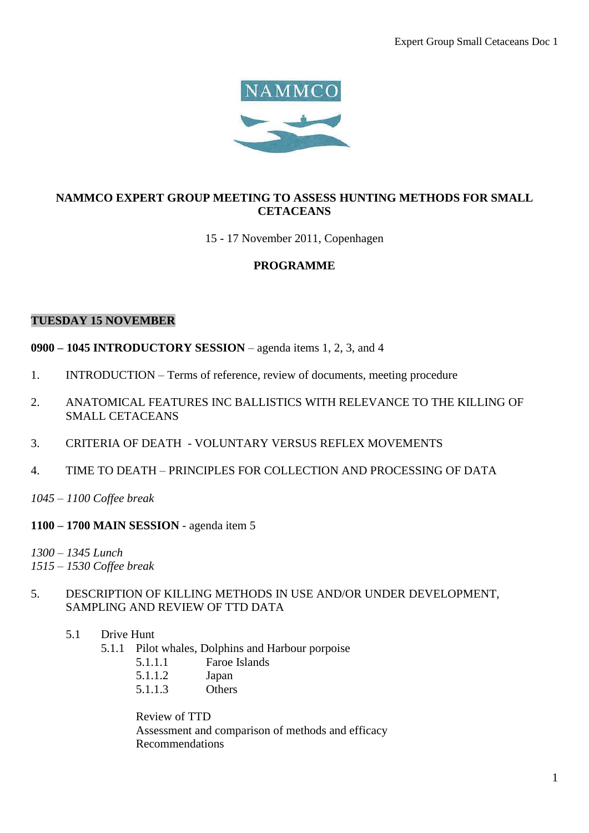

# **NAMMCO EXPERT GROUP MEETING TO ASSESS HUNTING METHODS FOR SMALL CETACEANS**

## 15 - 17 November 2011, Copenhagen

## **PROGRAMME**

#### **TUESDAY 15 NOVEMBER**

**0900 – 1045 INTRODUCTORY SESSION** – agenda items 1, 2, 3, and 4

- 1. INTRODUCTION Terms of reference, review of documents, meeting procedure
- 2. ANATOMICAL FEATURES INC BALLISTICS WITH RELEVANCE TO THE KILLING OF SMALL CETACEANS
- 3. CRITERIA OF DEATH VOLUNTARY VERSUS REFLEX MOVEMENTS
- 4. TIME TO DEATH PRINCIPLES FOR COLLECTION AND PROCESSING OF DATA
- *1045 – 1100 Coffee break*
- **1100 – 1700 MAIN SESSION**  agenda item 5

*1300 – 1345 Lunch 1515 – 1530 Coffee break*

- 5. DESCRIPTION OF KILLING METHODS IN USE AND/OR UNDER DEVELOPMENT, SAMPLING AND REVIEW OF TTD DATA
	- 5.1 Drive Hunt
		- 5.1.1 Pilot whales, Dolphins and Harbour porpoise
			- 5.1.1.1 Faroe Islands
			- 5.1.1.2 Japan
			- 5.1.1.3 Others

Review of TTD Assessment and comparison of methods and efficacy Recommendations